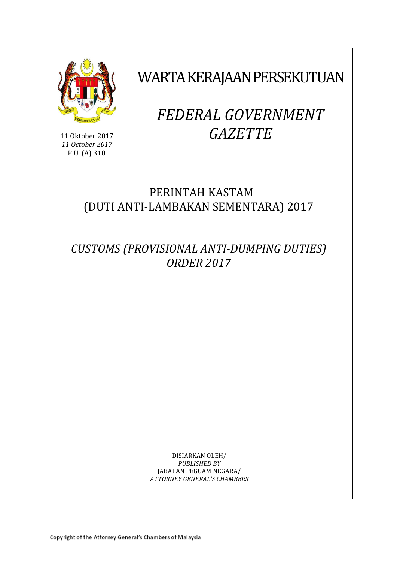

11 Oktober 2017 *11 October 2017* P.U. (A) 310

WARTA KERAJAAN PERSEKUTUAN

# *FEDERAL GOVERNMENT GAZETTE*

# PERINTAH KASTAM (DUTI ANTI-LAMBAKAN SEMENTARA) 2017

*CUSTOMS (PROVISIONAL ANTI-DUMPING DUTIES) ORDER 2017*

> DISIARKAN OLEH/ *PUBLISHED BY* JABATAN PEGUAM NEGARA/ *ATTORNEY GENERAL'S CHAMBERS*

Copyright of the Attorney General's Chambers of Malaysia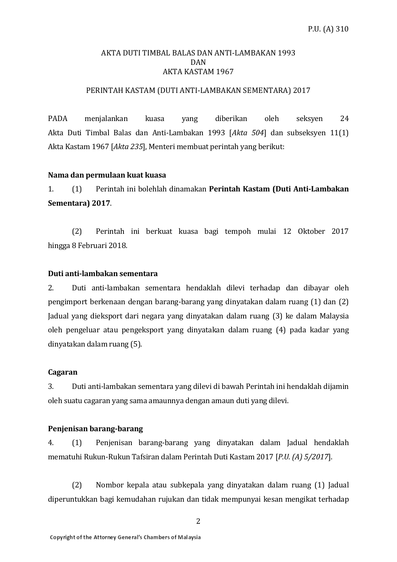#### AKTA DUTI TIMBAL BALAS DAN ANTI-LAMBAKAN 1993 DAN AKTA KASTAM 1967

#### PERINTAH KASTAM (DUTI ANTI-LAMBAKAN SEMENTARA) 2017

PADA menjalankan kuasa yang diberikan oleh seksyen 24 Akta Duti Timbal Balas dan Anti-Lambakan 1993 [*Akta 504*] dan subseksyen 11(1) Akta Kastam 1967 [*Akta 235*], Menteri membuat perintah yang berikut:

#### **Nama dan permulaan kuat kuasa**

1. (1) Perintah ini bolehlah dinamakan **Perintah Kastam (Duti Anti-Lambakan Sementara) 2017**.

(2) Perintah ini berkuat kuasa bagi tempoh mulai 12 Oktober 2017 hingga 8 Februari 2018.

#### **Duti anti-lambakan sementara**

2. Duti anti-lambakan sementara hendaklah dilevi terhadap dan dibayar oleh pengimport berkenaan dengan barang-barang yang dinyatakan dalam ruang (1) dan (2) Jadual yang dieksport dari negara yang dinyatakan dalam ruang (3) ke dalam Malaysia oleh pengeluar atau pengeksport yang dinyatakan dalam ruang (4) pada kadar yang dinyatakan dalam ruang (5).

#### **Cagaran**

3. Duti anti-lambakan sementara yang dilevi di bawah Perintah ini hendaklah dijamin oleh suatu cagaran yang sama amaunnya dengan amaun duti yang dilevi.

#### **Penjenisan barang-barang**

4. (1) Penjenisan barang-barang yang dinyatakan dalam Jadual hendaklah mematuhi Rukun-Rukun Tafsiran dalam Perintah Duti Kastam 2017 [*P.U. (A) 5/2017*].

(2) Nombor kepala atau subkepala yang dinyatakan dalam ruang (1) Jadual diperuntukkan bagi kemudahan rujukan dan tidak mempunyai kesan mengikat terhadap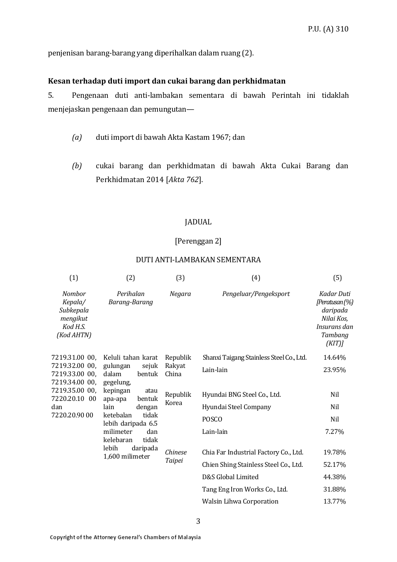penjenisan barang-barang yang diperihalkan dalam ruang (2).

#### **Kesan terhadap duti import dan cukai barang dan perkhidmatan**

5. Pengenaan duti anti-lambakan sementara di bawah Perintah ini tidaklah menjejaskan pengenaan dan pemungutan—

- *(a)* duti import di bawah Akta Kastam 1967; dan
- *(b)* cukai barang dan perkhidmatan di bawah Akta Cukai Barang dan Perkhidmatan 2014 [*Akta 762*].

#### JADUAL

#### [Perenggan 2]

#### DUTI ANTI-LAMBAKAN SEMENTARA

| (1)                                                                                                                             | (2)                                                                                                                                                                                                                                                              | (3)                         | (4)                                      | (5)                                                                                            |
|---------------------------------------------------------------------------------------------------------------------------------|------------------------------------------------------------------------------------------------------------------------------------------------------------------------------------------------------------------------------------------------------------------|-----------------------------|------------------------------------------|------------------------------------------------------------------------------------------------|
| <b>Nombor</b><br>Kepala/<br>Subkepala<br>mengikut<br>Kod H.S.<br>(Kod AHTN)                                                     | Perihalan<br>Barang-Barang                                                                                                                                                                                                                                       | Negara                      | Pengeluar/Pengeksport                    | Kadar Duti<br>[Peratusan (%)<br>daripada<br>Nilai Kos,<br>Insurans dan<br>Tambang<br>$(KIT)$ ] |
| 7219.31.00 00,<br>7219.32.00 00,<br>7219.33.00 00,<br>7219.34.00 00.<br>7219.35.00 00,<br>7220.20.10 00<br>dan<br>7220.20.90 00 | Keluli tahan karat<br>gulungan<br>sejuk<br>bentuk<br>dalam<br>gegelung,<br>kepingan<br>atau<br>bentuk<br>apa-apa<br>lain<br>dengan<br>tidak<br>ketebalan<br>lebih daripada 6.5<br>milimeter<br>dan<br>kelebaran<br>tidak<br>lebih<br>daripada<br>1,600 milimeter | Republik<br>Rakyat<br>China | Shanxi Taigang Stainless Steel Co., Ltd. | 14.64%                                                                                         |
|                                                                                                                                 |                                                                                                                                                                                                                                                                  |                             | Lain-lain                                | 23.95%                                                                                         |
|                                                                                                                                 |                                                                                                                                                                                                                                                                  | Republik<br>Korea           | Hyundai BNG Steel Co., Ltd.              | Nil                                                                                            |
|                                                                                                                                 |                                                                                                                                                                                                                                                                  |                             | Hyundai Steel Company                    | Nil                                                                                            |
|                                                                                                                                 |                                                                                                                                                                                                                                                                  |                             | <b>POSCO</b>                             | Nil                                                                                            |
|                                                                                                                                 |                                                                                                                                                                                                                                                                  |                             | Lain-lain                                | 7.27%                                                                                          |
|                                                                                                                                 |                                                                                                                                                                                                                                                                  | Chinese<br>Taipei           | Chia Far Industrial Factory Co., Ltd.    | 19.78%                                                                                         |
|                                                                                                                                 |                                                                                                                                                                                                                                                                  |                             | Chien Shing Stainless Steel Co., Ltd.    | 52.17%                                                                                         |
|                                                                                                                                 |                                                                                                                                                                                                                                                                  |                             | D&S Global Limited                       | 44.38%                                                                                         |
|                                                                                                                                 |                                                                                                                                                                                                                                                                  |                             | Tang Eng Iron Works Co., Ltd.            | 31.88%                                                                                         |
|                                                                                                                                 |                                                                                                                                                                                                                                                                  |                             | <b>Walsin Lihwa Corporation</b>          | 13.77%                                                                                         |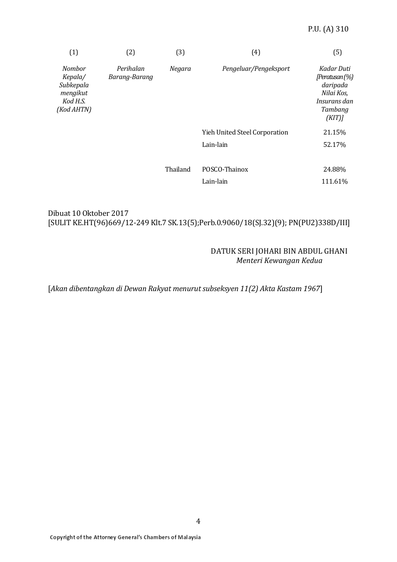| (1)                                                                         | (2)                        | (3)      | (4)                           | (5)                                                                                         |
|-----------------------------------------------------------------------------|----------------------------|----------|-------------------------------|---------------------------------------------------------------------------------------------|
| <b>Nombor</b><br>Kepala/<br>Subkepala<br>mengikut<br>Kod H.S.<br>(Kod AHTN) | Perihalan<br>Barang-Barang | Negara   | Pengeluar/Pengeksport         | Kadar Duti<br>[Peratusan (%)]<br>daripada<br>Nilai Kos,<br>Insurans dan<br>Tambang<br>(KIT) |
|                                                                             |                            |          | Yieh United Steel Corporation | 21.15%                                                                                      |
|                                                                             |                            |          | Lain-lain                     | 52.17%                                                                                      |
|                                                                             |                            |          |                               |                                                                                             |
|                                                                             |                            | Thailand | POSCO-Thainox                 | 24.88%                                                                                      |
|                                                                             |                            |          | Lain-lain                     | 111.61%                                                                                     |

# Dibuat 10 Oktober 2017 [SULIT KE.HT(96)669/12-249 Klt.7 SK.13(5);Perb.0.9060/18(SJ.32)(9); PN(PU2)338D/III]

#### DATUK SERI JOHARI BIN ABDUL GHANI *Menteri Kewangan Kedua*

[*Akan dibentangkan di Dewan Rakyat menurut subseksyen 11(2) Akta Kastam 1967*]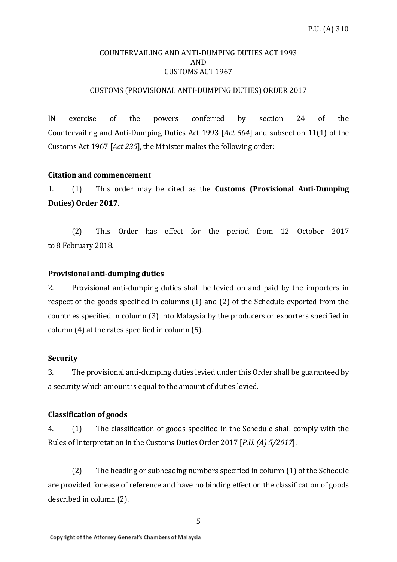#### COUNTERVAILING AND ANTI-DUMPING DUTIES ACT 1993 AND CUSTOMS ACT 1967

#### CUSTOMS (PROVISIONAL ANTI-DUMPING DUTIES) ORDER 2017

IN exercise of the powers conferred by section 24 of the Countervailing and Anti-Dumping Duties Act 1993 [*Act 504*] and subsection 11(1) of the Customs Act 1967 [*Act 235*], the Minister makes the following order:

#### **Citation and commencement**

1. (1) This order may be cited as the **Customs (Provisional Anti-Dumping Duties) Order 2017**.

(2) This Order has effect for the period from 12 October 2017 to 8 February 2018.

#### **Provisional anti-dumping duties**

2. Provisional anti-dumping duties shall be levied on and paid by the importers in respect of the goods specified in columns (1) and (2) of the Schedule exported from the countries specified in column (3) into Malaysia by the producers or exporters specified in column (4) at the rates specified in column (5).

#### **Security**

3. The provisional anti-dumping duties levied under this Order shall be guaranteed by a security which amount is equal to the amount of duties levied.

### **Classification of goods**

4. (1) The classification of goods specified in the Schedule shall comply with the Rules of Interpretation in the Customs Duties Order 2017 [*P.U. (A) 5/2017*].

(2) The heading or subheading numbers specified in column (1) of the Schedule are provided for ease of reference and have no binding effect on the classification of goods described in column (2).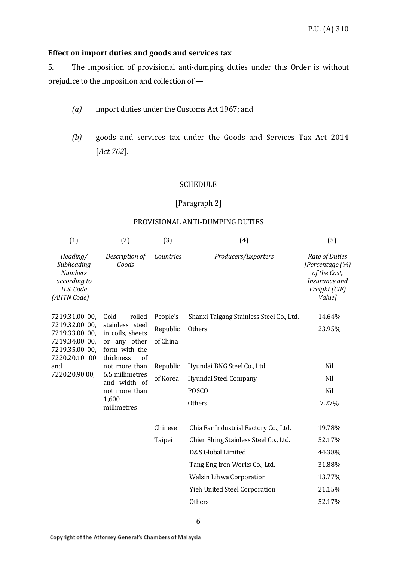#### **Effect on import duties and goods and services tax**

5. The imposition of provisional anti-dumping duties under this Order is without prejudice to the imposition and collection of —

- *(a)* import duties under the Customs Act 1967; and
- *(b)* goods and services tax under the Goods and Services Tax Act 2014 [*Act 762*].

#### **SCHEDULE**

#### [Paragraph 2]

#### PROVISIONAL ANTI-DUMPING DUTIES

| (1)                                                                                   | (2)                                                                                       | (3)       | (4)                                      | (5)                                                                                                  |
|---------------------------------------------------------------------------------------|-------------------------------------------------------------------------------------------|-----------|------------------------------------------|------------------------------------------------------------------------------------------------------|
| Heading/<br>Subheading<br><b>Numbers</b><br>according to<br>H.S. Code<br>(AHTN Code)  | Description of<br>Goods                                                                   | Countries | Producers/Exporters                      | Rate of Duties<br>[Percentage (%)<br>of the Cost,<br>Insurance and<br>Freight (CIF)<br><i>Value]</i> |
| 7219.31.00 00,                                                                        | Cold<br>rolled                                                                            | People's  | Shanxi Taigang Stainless Steel Co., Ltd. | 14.64%                                                                                               |
| 7219.32.00 00,<br>7219.33.00 00,<br>7219.34.00 00,<br>7219.35.00 00,<br>7220.20.10 00 | stainless steel<br>in coils, sheets<br>or any other<br>form with the<br>thickness<br>of   | Republic  | Others                                   | 23.95%                                                                                               |
|                                                                                       |                                                                                           | of China  |                                          |                                                                                                      |
| and<br>7220.20.90 00,                                                                 | not more than<br>6.5 millimetres<br>and width of<br>not more than<br>1,600<br>millimetres | Republic  | Hyundai BNG Steel Co., Ltd.              | Nil                                                                                                  |
|                                                                                       |                                                                                           | of Korea  | Hyundai Steel Company                    | Nil                                                                                                  |
|                                                                                       |                                                                                           |           | <b>POSCO</b>                             | Nil                                                                                                  |
|                                                                                       |                                                                                           |           | Others                                   | 7.27%                                                                                                |
|                                                                                       |                                                                                           | Chinese   | Chia Far Industrial Factory Co., Ltd.    | 19.78%                                                                                               |
|                                                                                       |                                                                                           | Taipei    | Chien Shing Stainless Steel Co., Ltd.    | 52.17%                                                                                               |
|                                                                                       |                                                                                           |           | D&S Global Limited                       | 44.38%                                                                                               |
|                                                                                       |                                                                                           |           | Tang Eng Iron Works Co., Ltd.            | 31.88%                                                                                               |
|                                                                                       |                                                                                           |           | <b>Walsin Lihwa Corporation</b>          | 13.77%                                                                                               |
|                                                                                       |                                                                                           |           | Yieh United Steel Corporation            | 21.15%                                                                                               |
|                                                                                       |                                                                                           |           | <b>Others</b>                            | 52.17%                                                                                               |